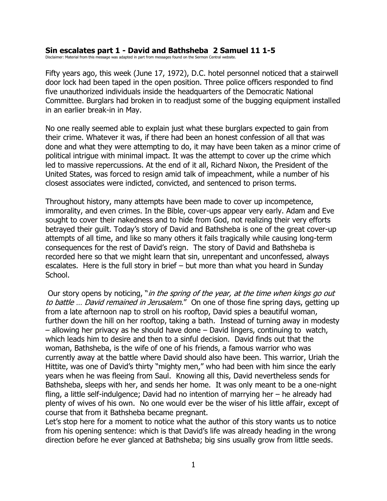## **Sin escalates part 1 - David and Bathsheba 2 Samuel 11 1-5**

Disclaimer: Material from this message was adapted in part from messages found on the Sermon Central website.

Fifty years ago, this week (June 17, 1972), D.C. hotel personnel noticed that a stairwell door lock had been taped in the open position. Three police officers responded to find five unauthorized individuals inside the headquarters of the Democratic National Committee. Burglars had broken in to readjust some of the bugging equipment installed in an earlier break-in in May.

No one really seemed able to explain just what these burglars expected to gain from their crime. Whatever it was, if there had been an honest confession of all that was done and what they were attempting to do, it may have been taken as a minor crime of political intrigue with minimal impact. It was the attempt to cover up the crime which led to massive repercussions. At the end of it all, Richard Nixon, the President of the United States, was forced to resign amid talk of impeachment, while a number of his closest associates were indicted, convicted, and sentenced to prison terms.

Throughout history, many attempts have been made to cover up incompetence, immorality, and even crimes. In the Bible, cover-ups appear very early. Adam and Eve sought to cover their nakedness and to hide from God, not realizing their very efforts betrayed their guilt. Today's story of David and Bathsheba is one of the great cover-up attempts of all time, and like so many others it fails tragically while causing long-term consequences for the rest of David's reign. The story of David and Bathsheba is recorded here so that we might learn that sin, unrepentant and unconfessed, always escalates. Here is the full story in brief – but more than what you heard in Sunday School.

Our story opens by noticing, "in the spring of the year, at the time when kings go out to battle ... David remained in Jerusalem." On one of those fine spring days, getting up from a late afternoon nap to stroll on his rooftop, David spies a beautiful woman, further down the hill on her rooftop, taking a bath. Instead of turning away in modesty – allowing her privacy as he should have done – David lingers, continuing to watch, which leads him to desire and then to a sinful decision. David finds out that the woman, Bathsheba, is the wife of one of his friends, a famous warrior who was currently away at the battle where David should also have been. This warrior, Uriah the Hittite, was one of David's thirty "mighty men," who had been with him since the early years when he was fleeing from Saul. Knowing all this, David nevertheless sends for Bathsheba, sleeps with her, and sends her home. It was only meant to be a one-night fling, a little self-indulgence; David had no intention of marrying her – he already had plenty of wives of his own. No one would ever be the wiser of his little affair, except of course that from it Bathsheba became pregnant.

Let's stop here for a moment to notice what the author of this story wants us to notice from his opening sentence: which is that David's life was already heading in the wrong direction before he ever glanced at Bathsheba; big sins usually grow from little seeds.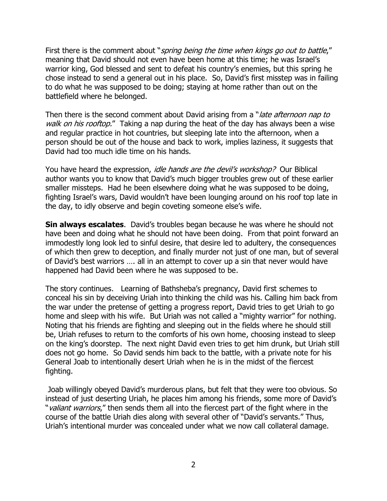First there is the comment about "spring being the time when kings go out to battle," meaning that David should not even have been home at this time; he was Israel's warrior king, God blessed and sent to defeat his country's enemies, but this spring he chose instead to send a general out in his place. So, David's first misstep was in failing to do what he was supposed to be doing; staying at home rather than out on the battlefield where he belonged.

Then there is the second comment about David arising from a "*late afternoon nap to* walk on his rooftop." Taking a nap during the heat of the day has always been a wise and regular practice in hot countries, but sleeping late into the afternoon, when a person should be out of the house and back to work, implies laziness, it suggests that David had too much idle time on his hands.

You have heard the expression, *idle hands are the devil's workshop?* Our Biblical author wants you to know that David's much bigger troubles grew out of these earlier smaller missteps. Had he been elsewhere doing what he was supposed to be doing, fighting Israel's wars, David wouldn't have been lounging around on his roof top late in the day, to idly observe and begin coveting someone else's wife.

**Sin always escalates**. David's troubles began because he was where he should not have been and doing what he should not have been doing. From that point forward an immodestly long look led to sinful desire, that desire led to adultery, the consequences of which then grew to deception, and finally murder not just of one man, but of several of David's best warriors …. all in an attempt to cover up a sin that never would have happened had David been where he was supposed to be.

The story continues. Learning of Bathsheba's pregnancy, David first schemes to conceal his sin by deceiving Uriah into thinking the child was his. Calling him back from the war under the pretense of getting a progress report, David tries to get Uriah to go home and sleep with his wife. But Uriah was not called a "mighty warrior" for nothing. Noting that his friends are fighting and sleeping out in the fields where he should still be, Uriah refuses to return to the comforts of his own home, choosing instead to sleep on the king's doorstep. The next night David even tries to get him drunk, but Uriah still does not go home. So David sends him back to the battle, with a private note for his General Joab to intentionally desert Uriah when he is in the midst of the fiercest fighting.

Joab willingly obeyed David's murderous plans, but felt that they were too obvious. So instead of just deserting Uriah, he places him among his friends, some more of David's "*valiant warriors*," then sends them all into the fiercest part of the fight where in the course of the battle Uriah dies along with several other of "David's servants." Thus, Uriah's intentional murder was concealed under what we now call collateral damage.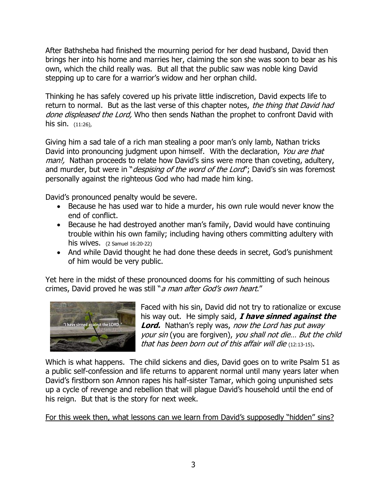After Bathsheba had finished the mourning period for her dead husband, David then brings her into his home and marries her, claiming the son she was soon to bear as his own, which the child really was. But all that the public saw was noble king David stepping up to care for a warrior's widow and her orphan child.

Thinking he has safely covered up his private little indiscretion, David expects life to return to normal. But as the last verse of this chapter notes, the thing that David had done displeased the Lord, Who then sends Nathan the prophet to confront David with his sin. (11:26),

Giving him a sad tale of a rich man stealing a poor man's only lamb, Nathan tricks David into pronouncing judgment upon himself. With the declaration, You are that man!, Nathan proceeds to relate how David's sins were more than coveting, adultery, and murder, but were in "*despising of the word of the Lord*"; David's sin was foremost personally against the righteous God who had made him king.

David's pronounced penalty would be severe.

- Because he has used war to hide a murder, his own rule would never know the end of conflict.
- Because he had destroyed another man's family, David would have continuing trouble within his own family; including having others committing adultery with his wives. (2 Samuel 16:20-22)
- And while David thought he had done these deeds in secret, God's punishment of him would be very public.

Yet here in the midst of these pronounced dooms for his committing of such heinous crimes, David proved he was still "a man after God's own heart."



Faced with his sin, David did not try to rationalize or excuse his way out. He simply said, **I have sinned against the Lord.** Nathan's reply was, now the Lord has put away your sin (you are forgiven), you shall not die… But the child that has been born out of this affair will die (12:13-15).

Which is what happens. The child sickens and dies, David goes on to write Psalm 51 as a public self-confession and life returns to apparent normal until many years later when David's firstborn son Amnon rapes his half-sister Tamar, which going unpunished sets up a cycle of revenge and rebellion that will plague David's household until the end of his reign. But that is the story for next week.

For this week then, what lessons can we learn from David's supposedly "hidden" sins?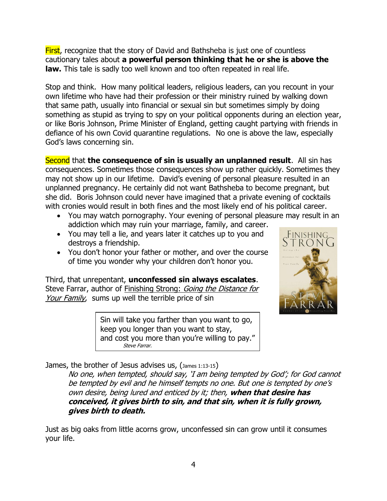**First**, recognize that the story of David and Bathsheba is just one of countless cautionary tales about **a powerful person thinking that he or she is above the law.** This tale is sadly too well known and too often repeated in real life.

Stop and think. How many political leaders, religious leaders, can you recount in your own lifetime who have had their profession or their ministry ruined by walking down that same path, usually into financial or sexual sin but sometimes simply by doing something as stupid as trying to spy on your political opponents during an election year, or like Boris Johnson, Prime Minister of England, getting caught partying with friends in defiance of his own Covid quarantine regulations. No one is above the law, especially God's laws concerning sin.

Second that **the consequence of sin is usually an unplanned result**. All sin has consequences. Sometimes those consequences show up rather quickly. Sometimes they may not show up in our lifetime. David's evening of personal pleasure resulted in an unplanned pregnancy. He certainly did not want Bathsheba to become pregnant, but she did. Boris Johnson could never have imagined that a private evening of cocktails with cronies would result in both fines and the most likely end of his political career.

- You may watch pornography. Your evening of personal pleasure may result in an addiction which may ruin your marriage, family, and career.
- You may tell a lie, and years later it catches up to you and destroys a friendship.
- You don't honor your father or mother, and over the course of time you wonder why your children don't honor you.

Third, that unrepentant, **unconfessed sin always escalates**. Steve Farrar, author of Finishing Strong: Going the Distance for Your Family, sums up well the terrible price of sin

> Sin will take you farther than you want to go, keep you longer than you want to stay, and cost you more than you're willing to pay." Steve Farrar.



James, the brother of Jesus advises us, (James 1:13-15)

No one, when tempted, should say, 'I am being tempted by God'; for God cannot be tempted by evil and he himself tempts no one. But one is tempted by one's own desire, being lured and enticed by it; then, **when that desire has conceived, it gives birth to sin, and that sin, when it is fully grown, gives birth to death.**

Just as big oaks from little acorns grow, unconfessed sin can grow until it consumes your life.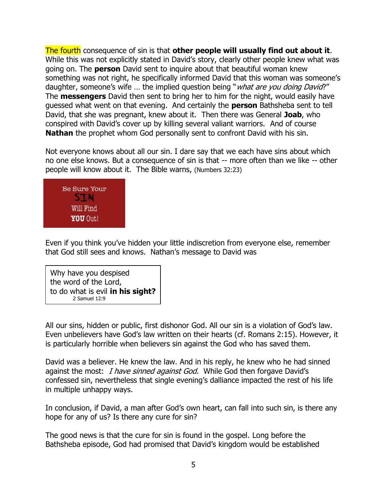The fourth consequence of sin is that **other people will usually find out about it**. While this was not explicitly stated in David's story, clearly other people knew what was going on. The **person** David sent to inquire about that beautiful woman knew something was not right, he specifically informed David that this woman was someone's daughter, someone's wife ... the implied question being "*what are you doing David*?" The **messengers** David then sent to bring her to him for the night, would easily have guessed what went on that evening. And certainly the **person** Bathsheba sent to tell David, that she was pregnant, knew about it. Then there was General **Joab**, who conspired with David's cover up by killing several valiant warriors. And of course **Nathan** the prophet whom God personally sent to confront David with his sin.

Not everyone knows about all our sin. I dare say that we each have sins about which no one else knows. But a consequence of sin is that -- more often than we like -- other people will know about it. The Bible warns, (Numbers 32:23)



Even if you think you've hidden your little indiscretion from everyone else, remember that God still sees and knows. Nathan's message to David was

Why have you despised the word of the Lord, to do what is evil **in his sight?** 2 Samuel 12:9

All our sins, hidden or public, first dishonor God. All our sin is a violation of God's law. Even unbelievers have God's law written on their hearts (cf. Romans 2:15). However, it is particularly horrible when believers sin against the God who has saved them.

David was a believer. He knew the law. And in his reply, he knew who he had sinned against the most: *I have sinned against God.* While God then forgave David's confessed sin, nevertheless that single evening's dalliance impacted the rest of his life in multiple unhappy ways.

In conclusion, if David, a man after God's own heart, can fall into such sin, is there any hope for any of us? Is there any cure for sin?

The good news is that the cure for sin is found in the gospel. Long before the Bathsheba episode, God had promised that David's kingdom would be established